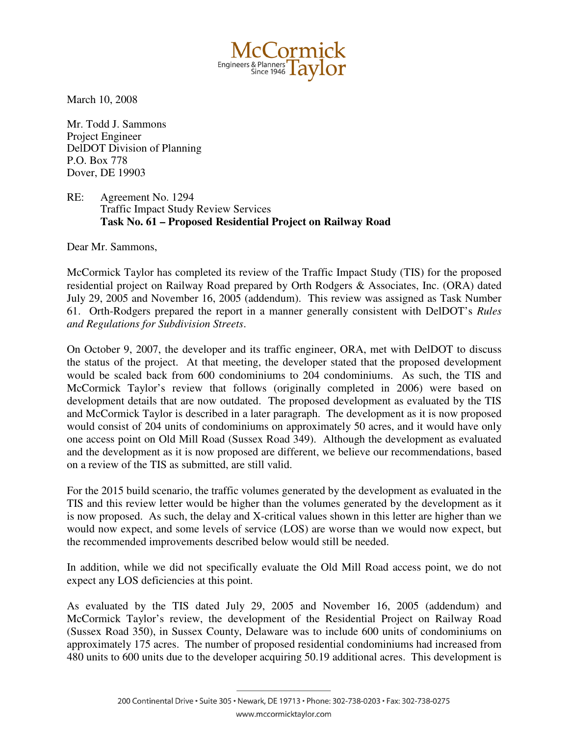Engineers & Planners<br>Since 1946 Tay

March 10, 2008

Mr. Todd J. Sammons Project Engineer DelDOT Division of Planning P.O. Box 778 Dover, DE 19903

RE: Agreement No. 1294 Traffic Impact Study Review Services **Task No. 61 – Proposed Residential Project on Railway Road**

Dear Mr. Sammons,

McCormick Taylor has completed its review of the Traffic Impact Study (TIS) for the proposed residential project on Railway Road prepared by Orth Rodgers & Associates, Inc. (ORA) dated July 29, 2005 and November 16, 2005 (addendum). This review was assigned as Task Number 61. Orth-Rodgers prepared the report in a manner generally consistent with DelDOT's *Rules and Regulations for Subdivision Streets*.

On October 9, 2007, the developer and its traffic engineer, ORA, met with DelDOT to discuss the status of the project. At that meeting, the developer stated that the proposed development would be scaled back from 600 condominiums to 204 condominiums. As such, the TIS and McCormick Taylor's review that follows (originally completed in 2006) were based on development details that are now outdated. The proposed development as evaluated by the TIS and McCormick Taylor is described in a later paragraph. The development as it is now proposed would consist of 204 units of condominiums on approximately 50 acres, and it would have only one access point on Old Mill Road (Sussex Road 349). Although the development as evaluated and the development as it is now proposed are different, we believe our recommendations, based on a review of the TIS as submitted, are still valid.

For the 2015 build scenario, the traffic volumes generated by the development as evaluated in the TIS and this review letter would be higher than the volumes generated by the development as it is now proposed. As such, the delay and X-critical values shown in this letter are higher than we would now expect, and some levels of service (LOS) are worse than we would now expect, but the recommended improvements described below would still be needed.

In addition, while we did not specifically evaluate the Old Mill Road access point, we do not expect any LOS deficiencies at this point.

As evaluated by the TIS dated July 29, 2005 and November 16, 2005 (addendum) and McCormick Taylor's review, the development of the Residential Project on Railway Road (Sussex Road 350), in Sussex County, Delaware was to include 600 units of condominiums on approximately 175 acres. The number of proposed residential condominiums had increased from 480 units to 600 units due to the developer acquiring 50.19 additional acres. This development is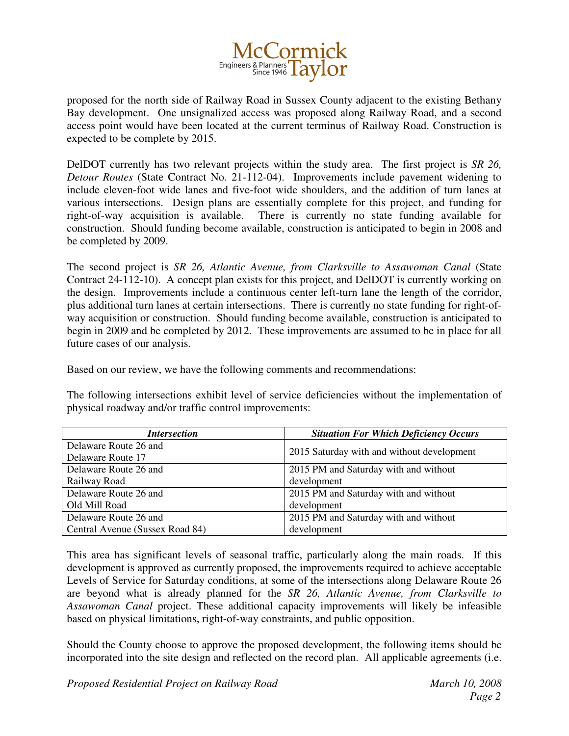

proposed for the north side of Railway Road in Sussex County adjacent to the existing Bethany Bay development. One unsignalized access was proposed along Railway Road, and a second access point would have been located at the current terminus of Railway Road. Construction is expected to be complete by 2015.

DelDOT currently has two relevant projects within the study area. The first project is *SR 26, Detour Routes* (State Contract No. 21-112-04). Improvements include pavement widening to include eleven-foot wide lanes and five-foot wide shoulders, and the addition of turn lanes at various intersections. Design plans are essentially complete for this project, and funding for right-of-way acquisition is available. There is currently no state funding available for construction. Should funding become available, construction is anticipated to begin in 2008 and be completed by 2009.

The second project is *SR 26, Atlantic Avenue, from Clarksville to Assawoman Canal* (State Contract 24-112-10). A concept plan exists for this project, and DelDOT is currently working on the design. Improvements include a continuous center left-turn lane the length of the corridor, plus additional turn lanes at certain intersections. There is currently no state funding for right-ofway acquisition or construction. Should funding become available, construction is anticipated to begin in 2009 and be completed by 2012. These improvements are assumed to be in place for all future cases of our analysis.

Based on our review, we have the following comments and recommendations:

The following intersections exhibit level of service deficiencies without the implementation of physical roadway and/or traffic control improvements:

| <i>Intersection</i>             | <b>Situation For Which Deficiency Occurs</b> |
|---------------------------------|----------------------------------------------|
| Delaware Route 26 and           |                                              |
| Delaware Route 17               | 2015 Saturday with and without development   |
| Delaware Route 26 and           | 2015 PM and Saturday with and without        |
| Railway Road                    | development                                  |
| Delaware Route 26 and           | 2015 PM and Saturday with and without        |
| Old Mill Road                   | development                                  |
| Delaware Route 26 and           | 2015 PM and Saturday with and without        |
| Central Avenue (Sussex Road 84) | development                                  |

This area has significant levels of seasonal traffic, particularly along the main roads. If this development is approved as currently proposed, the improvements required to achieve acceptable Levels of Service for Saturday conditions, at some of the intersections along Delaware Route 26 are beyond what is already planned for the *SR 26, Atlantic Avenue, from Clarksville to Assawoman Canal* project. These additional capacity improvements will likely be infeasible based on physical limitations, right-of-way constraints, and public opposition.

Should the County choose to approve the proposed development, the following items should be incorporated into the site design and reflected on the record plan. All applicable agreements (i.e.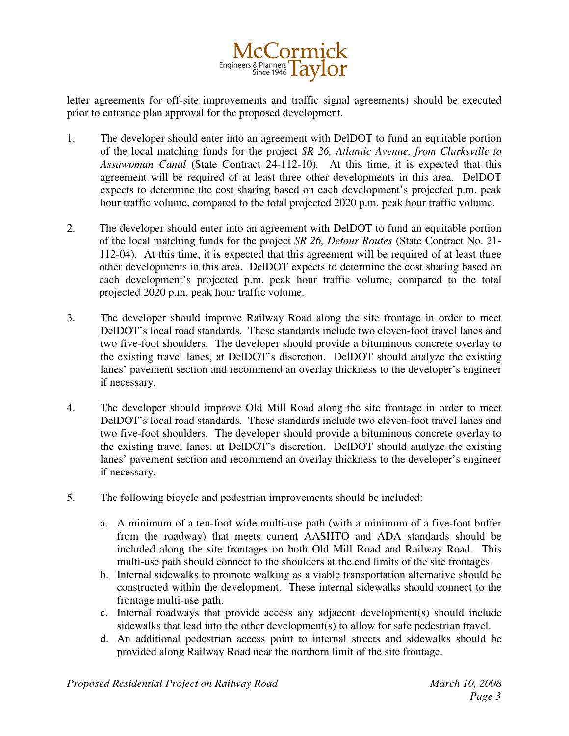

letter agreements for off-site improvements and traffic signal agreements) should be executed prior to entrance plan approval for the proposed development.

- 1. The developer should enter into an agreement with DelDOT to fund an equitable portion of the local matching funds for the project *SR 26, Atlantic Avenue, from Clarksville to Assawoman Canal* (State Contract 24-112-10)*.* At this time, it is expected that this agreement will be required of at least three other developments in this area. DelDOT expects to determine the cost sharing based on each development's projected p.m. peak hour traffic volume, compared to the total projected 2020 p.m. peak hour traffic volume.
- 2. The developer should enter into an agreement with DelDOT to fund an equitable portion of the local matching funds for the project *SR 26, Detour Routes* (State Contract No. 21- 112-04). At this time, it is expected that this agreement will be required of at least three other developments in this area. DelDOT expects to determine the cost sharing based on each development's projected p.m. peak hour traffic volume, compared to the total projected 2020 p.m. peak hour traffic volume.
- 3. The developer should improve Railway Road along the site frontage in order to meet DelDOT's local road standards. These standards include two eleven-foot travel lanes and two five-foot shoulders. The developer should provide a bituminous concrete overlay to the existing travel lanes, at DelDOT's discretion. DelDOT should analyze the existing lanes' pavement section and recommend an overlay thickness to the developer's engineer if necessary.
- 4. The developer should improve Old Mill Road along the site frontage in order to meet DelDOT's local road standards. These standards include two eleven-foot travel lanes and two five-foot shoulders. The developer should provide a bituminous concrete overlay to the existing travel lanes, at DelDOT's discretion. DelDOT should analyze the existing lanes' pavement section and recommend an overlay thickness to the developer's engineer if necessary.
- 5. The following bicycle and pedestrian improvements should be included:
	- a. A minimum of a ten-foot wide multi-use path (with a minimum of a five-foot buffer from the roadway) that meets current AASHTO and ADA standards should be included along the site frontages on both Old Mill Road and Railway Road. This multi-use path should connect to the shoulders at the end limits of the site frontages.
	- b. Internal sidewalks to promote walking as a viable transportation alternative should be constructed within the development. These internal sidewalks should connect to the frontage multi-use path.
	- c. Internal roadways that provide access any adjacent development(s) should include sidewalks that lead into the other development(s) to allow for safe pedestrian travel.
	- d. An additional pedestrian access point to internal streets and sidewalks should be provided along Railway Road near the northern limit of the site frontage.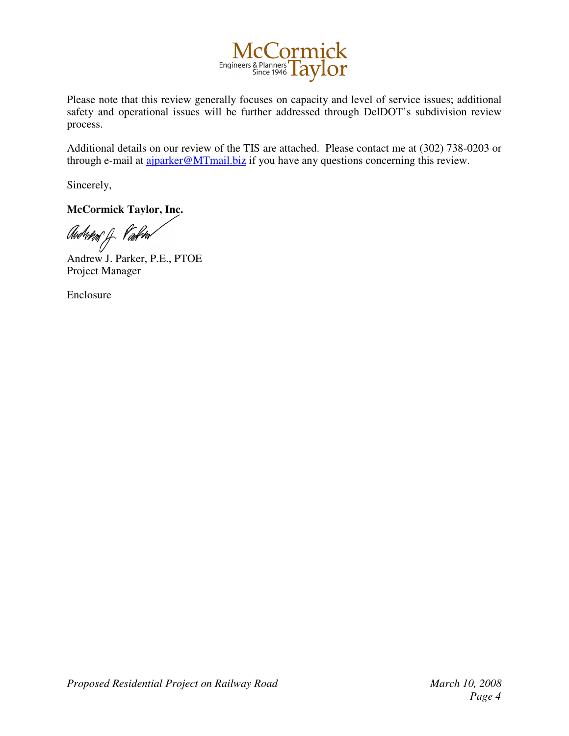

Please note that this review generally focuses on capacity and level of service issues; additional safety and operational issues will be further addressed through DelDOT's subdivision review process.

Additional details on our review of the TIS are attached. Please contact me at (302) 738-0203 or through e-mail at ajparker@MTmail.biz if you have any questions concerning this review.

Sincerely,

**McCormick Taylor, Inc.**

Avdr*ån* J. *Viokr*a

Andrew J. Parker, P.E., PTOE Project Manager

Enclosure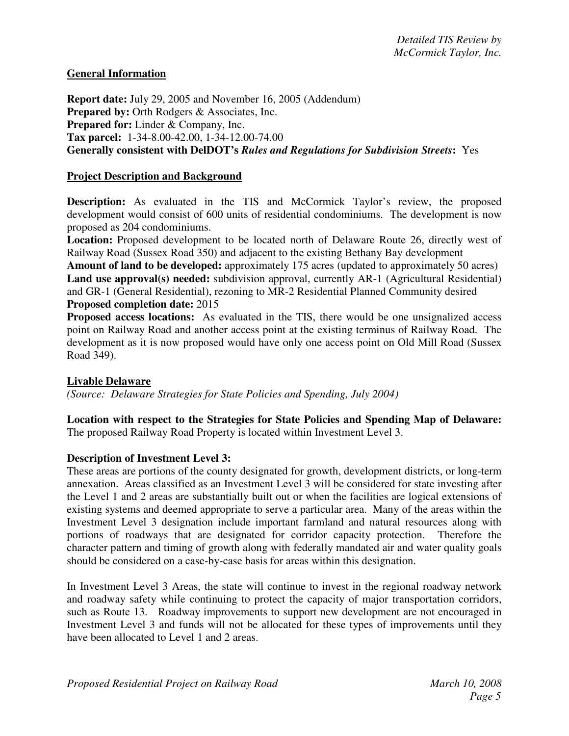# **General Information**

**Report date:** July 29, 2005 and November 16, 2005 (Addendum) **Prepared by:** Orth Rodgers & Associates, Inc. **Prepared for:** Linder & Company, Inc. **Tax parcel:** 1-34-8.00-42.00, 1-34-12.00-74.00 **Generally consistent with DelDOT's** *Rules and Regulations for Subdivision Streets***:** Yes

# **Project Description and Background**

**Description:** As evaluated in the TIS and McCormick Taylor's review, the proposed development would consist of 600 units of residential condominiums. The development is now proposed as 204 condominiums.

**Location:** Proposed development to be located north of Delaware Route 26, directly west of Railway Road (Sussex Road 350) and adjacent to the existing Bethany Bay development

**Amount of land to be developed:** approximately 175 acres (updated to approximately 50 acres) **Land use approval(s) needed:** subdivision approval, currently AR-1 (Agricultural Residential) and GR-1 (General Residential), rezoning to MR-2 Residential Planned Community desired **Proposed completion date:** 2015

**Proposed access locations:** As evaluated in the TIS, there would be one unsignalized access point on Railway Road and another access point at the existing terminus of Railway Road. The development as it is now proposed would have only one access point on Old Mill Road (Sussex Road 349).

# **Livable Delaware**

*(Source: Delaware Strategies for State Policies and Spending, July 2004)*

**Location with respect to the Strategies for State Policies and Spending Map of Delaware:** The proposed Railway Road Property is located within Investment Level 3.

# **Description of Investment Level 3:**

These areas are portions of the county designated for growth, development districts, or long-term annexation. Areas classified as an Investment Level 3 will be considered for state investing after the Level 1 and 2 areas are substantially built out or when the facilities are logical extensions of existing systems and deemed appropriate to serve a particular area. Many of the areas within the Investment Level 3 designation include important farmland and natural resources along with portions of roadways that are designated for corridor capacity protection. Therefore the character pattern and timing of growth along with federally mandated air and water quality goals should be considered on a case-by-case basis for areas within this designation.

In Investment Level 3 Areas, the state will continue to invest in the regional roadway network and roadway safety while continuing to protect the capacity of major transportation corridors, such as Route 13. Roadway improvements to support new development are not encouraged in Investment Level 3 and funds will not be allocated for these types of improvements until they have been allocated to Level 1 and 2 areas.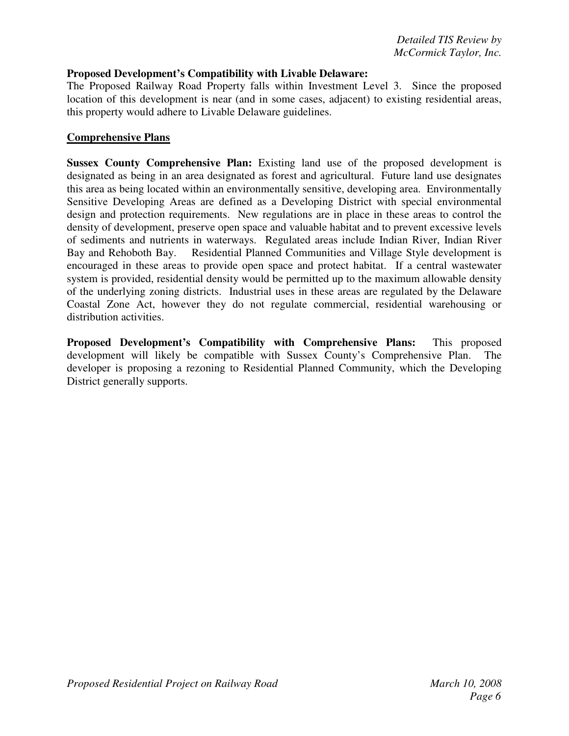### **Proposed Development's Compatibility with Livable Delaware:**

The Proposed Railway Road Property falls within Investment Level 3. Since the proposed location of this development is near (and in some cases, adjacent) to existing residential areas, this property would adhere to Livable Delaware guidelines.

### **Comprehensive Plans**

**Sussex County Comprehensive Plan:** Existing land use of the proposed development is designated as being in an area designated as forest and agricultural. Future land use designates this area as being located within an environmentally sensitive, developing area. Environmentally Sensitive Developing Areas are defined as a Developing District with special environmental design and protection requirements. New regulations are in place in these areas to control the density of development, preserve open space and valuable habitat and to prevent excessive levels of sediments and nutrients in waterways. Regulated areas include Indian River, Indian River Bay and Rehoboth Bay. Residential Planned Communities and Village Style development is encouraged in these areas to provide open space and protect habitat. If a central wastewater system is provided, residential density would be permitted up to the maximum allowable density of the underlying zoning districts. Industrial uses in these areas are regulated by the Delaware Coastal Zone Act, however they do not regulate commercial, residential warehousing or distribution activities.

**Proposed Development's Compatibility with Comprehensive Plans:** This proposed development will likely be compatible with Sussex County's Comprehensive Plan. The developer is proposing a rezoning to Residential Planned Community, which the Developing District generally supports.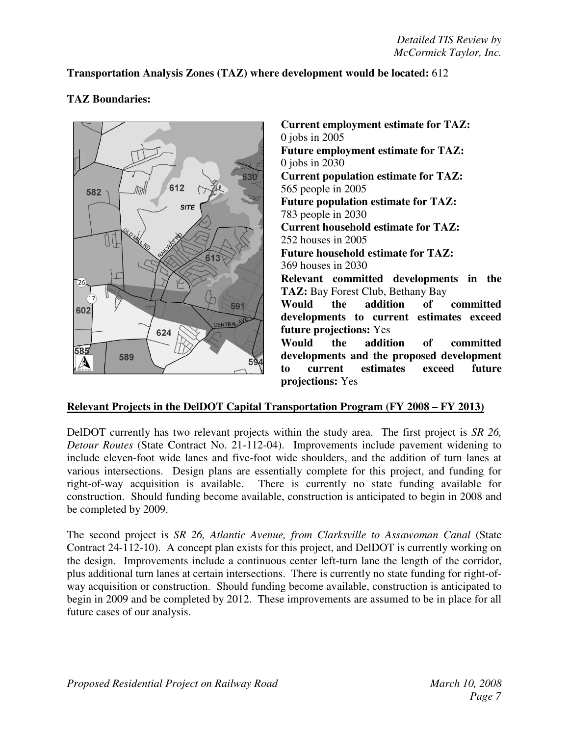# **Transportation Analysis Zones (TAZ) where development would be located:** 612



# **TAZ Boundaries:**

**Current employment estimate for TAZ:** 0 jobs in 2005 **Future employment estimate for TAZ:** 0 jobs in 2030 **Current population estimate for TAZ:** 565 people in 2005 **Future population estimate for TAZ:** 783 people in 2030 **Current household estimate for TAZ:** 252 houses in 2005 **Future household estimate for TAZ:** 369 houses in 2030 **Relevant committed developments in the TAZ:** Bay Forest Club, Bethany Bay **Would the addition of committed developments to current estimates exceed future projections:** Yes **Would the addition of committed developments and the proposed development to current estimates exceed future projections:** Yes

# **Relevant Projects in the DelDOT Capital Transportation Program (FY 2008 – FY 2013)**

DelDOT currently has two relevant projects within the study area. The first project is *SR 26, Detour Routes* (State Contract No. 21-112-04). Improvements include pavement widening to include eleven-foot wide lanes and five-foot wide shoulders, and the addition of turn lanes at various intersections. Design plans are essentially complete for this project, and funding for right-of-way acquisition is available. There is currently no state funding available for construction. Should funding become available, construction is anticipated to begin in 2008 and be completed by 2009.

The second project is *SR 26, Atlantic Avenue, from Clarksville to Assawoman Canal* (State Contract 24-112-10). A concept plan exists for this project, and DelDOT is currently working on the design. Improvements include a continuous center left-turn lane the length of the corridor, plus additional turn lanes at certain intersections. There is currently no state funding for right-ofway acquisition or construction. Should funding become available, construction is anticipated to begin in 2009 and be completed by 2012. These improvements are assumed to be in place for all future cases of our analysis.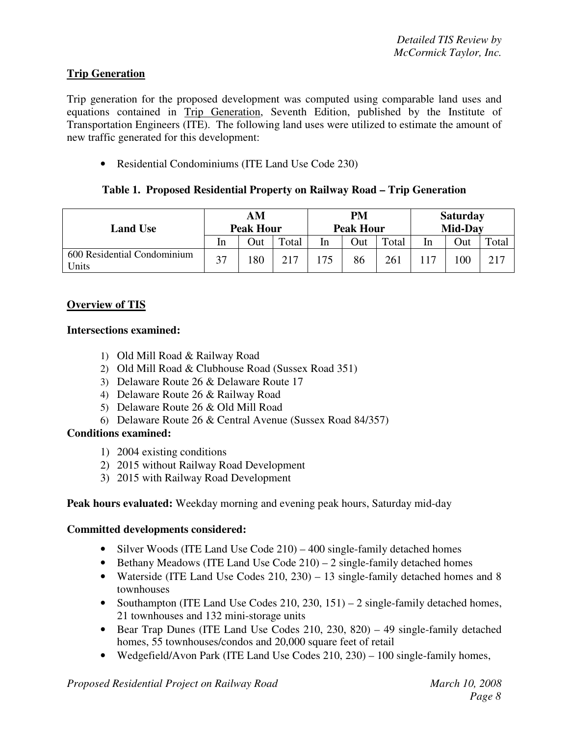# **Trip Generation**

Trip generation for the proposed development was computed using comparable land uses and equations contained in Trip Generation, Seventh Edition, published by the Institute of Transportation Engineers (ITE). The following land uses were utilized to estimate the amount of new traffic generated for this development:

• Residential Condominiums (ITE Land Use Code 230)

# **Table 1. Proposed Residential Property on Railway Road – Trip Generation**

| <b>Land Use</b>                      | AМ<br><b>Peak Hour</b> |     |       | PM<br><b>Peak Hour</b> |     |       | <b>Saturday</b><br><b>Mid-Dav</b> |     |       |
|--------------------------------------|------------------------|-----|-------|------------------------|-----|-------|-----------------------------------|-----|-------|
|                                      | In                     | Out | Total | In                     | Out | Total | In                                | Out | Total |
| 600 Residential Condominium<br>Units | 37                     | 80  | 217   | 175                    | 86  | 261   |                                   | 100 | 217   |

# **Overview of TIS**

### **Intersections examined:**

- 1) Old Mill Road & Railway Road
- 2) Old Mill Road & Clubhouse Road (Sussex Road 351)
- 3) Delaware Route 26 & Delaware Route 17
- 4) Delaware Route 26 & Railway Road
- 5) Delaware Route 26 & Old Mill Road
- 6) Delaware Route 26 & Central Avenue (Sussex Road 84/357)

# **Conditions examined:**

- 1) 2004 existing conditions
- 2) 2015 without Railway Road Development
- 3) 2015 with Railway Road Development

# **Peak hours evaluated:** Weekday morning and evening peak hours, Saturday mid-day

# **Committed developments considered:**

- Silver Woods (ITE Land Use Code 210) 400 single-family detached homes
- Bethany Meadows (ITE Land Use Code  $210$ ) 2 single-family detached homes
- Waterside (ITE Land Use Codes 210, 230) 13 single-family detached homes and 8 townhouses
- Southampton (ITE Land Use Codes 210, 230, 151) 2 single-family detached homes, 21 townhouses and 132 mini-storage units
- Bear Trap Dunes (ITE Land Use Codes 210, 230, 820) 49 single-family detached homes, 55 townhouses/condos and 20,000 square feet of retail
- Wedgefield/Avon Park (ITE Land Use Codes 210, 230) 100 single-family homes,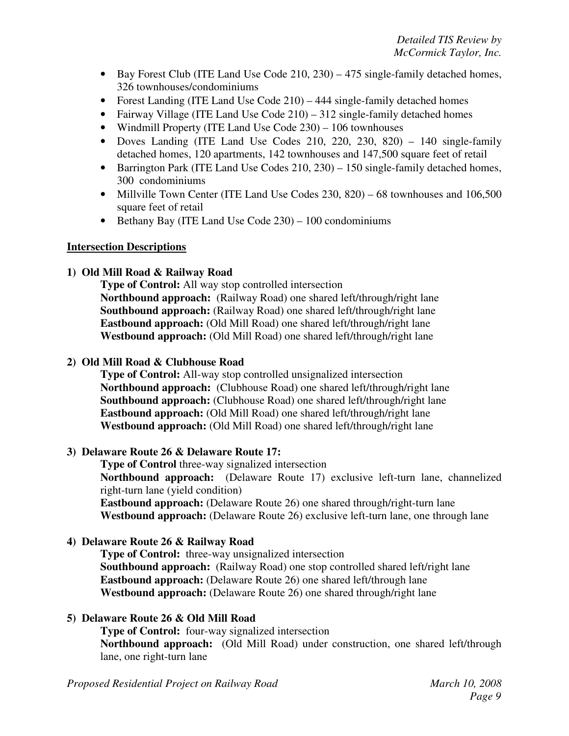- Bay Forest Club (ITE Land Use Code 210, 230) 475 single-family detached homes, 326 townhouses/condominiums
- Forest Landing (ITE Land Use Code 210) 444 single-family detached homes
- Fairway Village (ITE Land Use Code 210) 312 single-family detached homes
- Windmill Property (ITE Land Use Code 230) 106 townhouses
- Doves Landing (ITE Land Use Codes 210, 220, 230, 820) 140 single-family detached homes, 120 apartments, 142 townhouses and 147,500 square feet of retail
- Barrington Park (ITE Land Use Codes 210, 230) 150 single-family detached homes, 300 condominiums
- Millville Town Center (ITE Land Use Codes 230, 820) 68 townhouses and 106,500 square feet of retail
- Bethany Bay (ITE Land Use Code 230) 100 condominiums

### **Intersection Descriptions**

# **1) Old Mill Road & Railway Road**

**Type of Control:** All way stop controlled intersection **Northbound approach:** (Railway Road) one shared left/through/right lane **Southbound approach:** (Railway Road) one shared left/through/right lane **Eastbound approach:** (Old Mill Road) one shared left/through/right lane **Westbound approach:** (Old Mill Road) one shared left/through/right lane

### **2) Old Mill Road & Clubhouse Road**

**Type of Control:** All-way stop controlled unsignalized intersection **Northbound approach:** (Clubhouse Road) one shared left/through/right lane **Southbound approach:** (Clubhouse Road) one shared left/through/right lane **Eastbound approach:** (Old Mill Road) one shared left/through/right lane **Westbound approach:** (Old Mill Road) one shared left/through/right lane

# **3) Delaware Route 26 & Delaware Route 17:**

**Type of Control** three-way signalized intersection **Northbound approach:** (Delaware Route 17) exclusive left-turn lane, channelized right-turn lane (yield condition)

**Eastbound approach:** (Delaware Route 26) one shared through/right-turn lane **Westbound approach:** (Delaware Route 26) exclusive left-turn lane, one through lane

# **4) Delaware Route 26 & Railway Road**

**Type of Control:** three-way unsignalized intersection **Southbound approach:** (Railway Road) one stop controlled shared left/right lane **Eastbound approach:** (Delaware Route 26) one shared left/through lane **Westbound approach:** (Delaware Route 26) one shared through/right lane

# **5) Delaware Route 26 & Old Mill Road**

**Type of Control:** four-way signalized intersection **Northbound approach:** (Old Mill Road) under construction, one shared left/through lane, one right-turn lane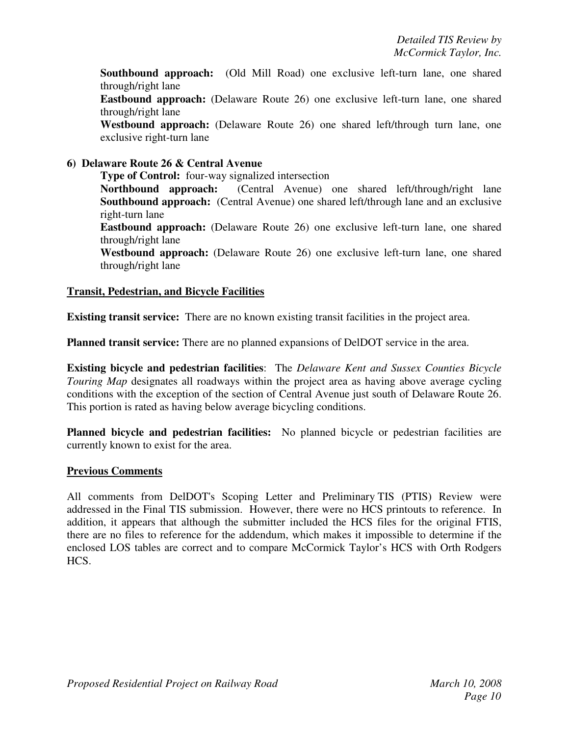**Southbound approach:** (Old Mill Road) one exclusive left-turn lane, one shared through/right lane

**Eastbound approach:** (Delaware Route 26) one exclusive left-turn lane, one shared through/right lane

**Westbound approach:** (Delaware Route 26) one shared left/through turn lane, one exclusive right-turn lane

# **6) Delaware Route 26 & Central Avenue**

**Type of Control:** four-way signalized intersection **Northbound approach:** (Central Avenue) one shared left/through/right lane **Southbound approach:** (Central Avenue) one shared left/through lane and an exclusive right-turn lane

**Eastbound approach:** (Delaware Route 26) one exclusive left-turn lane, one shared through/right lane

**Westbound approach:** (Delaware Route 26) one exclusive left-turn lane, one shared through/right lane

### **Transit, Pedestrian, and Bicycle Facilities**

**Existing transit service:** There are no known existing transit facilities in the project area.

**Planned transit service:** There are no planned expansions of DelDOT service in the area.

**Existing bicycle and pedestrian facilities**: The *Delaware Kent and Sussex Counties Bicycle Touring Map* designates all roadways within the project area as having above average cycling conditions with the exception of the section of Central Avenue just south of Delaware Route 26. This portion is rated as having below average bicycling conditions.

**Planned bicycle and pedestrian facilities:** No planned bicycle or pedestrian facilities are currently known to exist for the area.

### **Previous Comments**

All comments from DelDOT's Scoping Letter and Preliminary TIS (PTIS) Review were addressed in the Final TIS submission. However, there were no HCS printouts to reference. In addition, it appears that although the submitter included the HCS files for the original FTIS, there are no files to reference for the addendum, which makes it impossible to determine if the enclosed LOS tables are correct and to compare McCormick Taylor's HCS with Orth Rodgers HCS.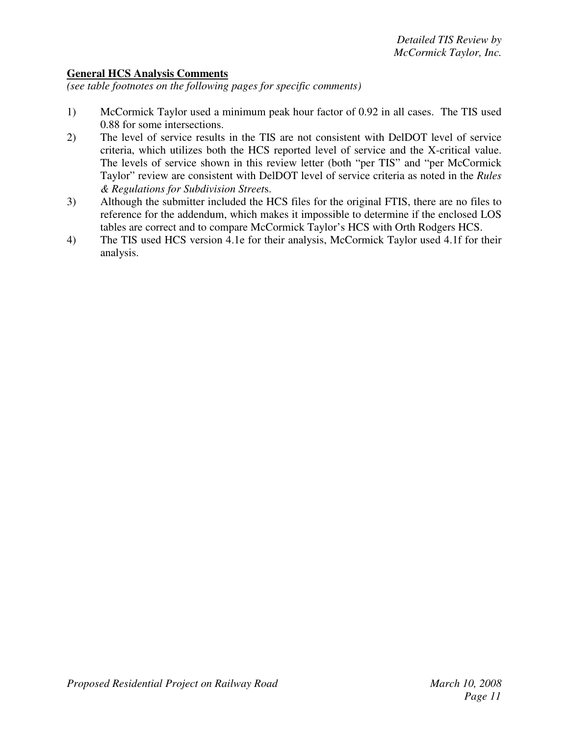# **General HCS Analysis Comments**

*(see table footnotes on the following pages for specific comments)*

- 1) McCormick Taylor used a minimum peak hour factor of 0.92 in all cases. The TIS used 0.88 for some intersections.
- 2) The level of service results in the TIS are not consistent with DelDOT level of service criteria, which utilizes both the HCS reported level of service and the X-critical value. The levels of service shown in this review letter (both "per TIS" and "per McCormick Taylor" review are consistent with DelDOT level of service criteria as noted in the *Rules & Regulations for Subdivision Street*s.
- 3) Although the submitter included the HCS files for the original FTIS, there are no files to reference for the addendum, which makes it impossible to determine if the enclosed LOS tables are correct and to compare McCormick Taylor's HCS with Orth Rodgers HCS.
- 4) The TIS used HCS version 4.1e for their analysis, McCormick Taylor used 4.1f for their analysis.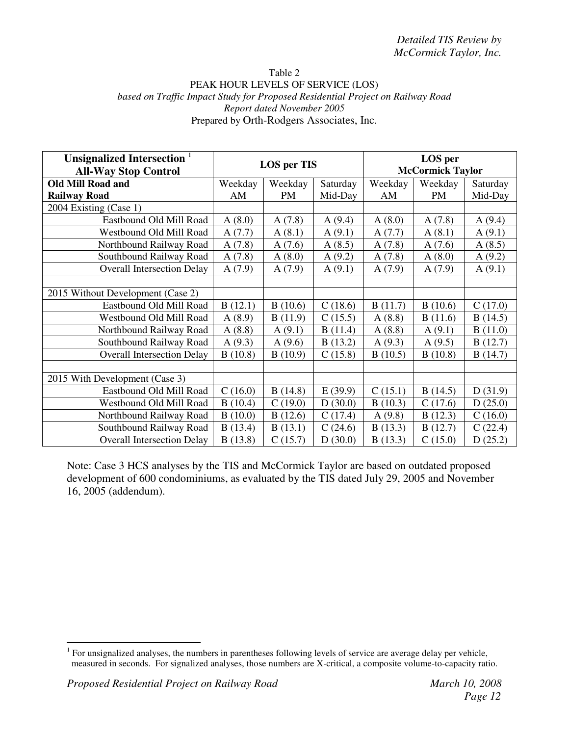#### Table 2 PEAK HOUR LEVELS OF SERVICE (LOS) *based on Traffic Impact Study for Proposed Residential Project on Railway Road Report dated November 2005* Prepared by Orth-Rodgers Associates, Inc.

| Unsignalized Intersection <sup>1</sup><br><b>All-Way Stop Control</b> | <b>LOS</b> per TIS |         |          |         | LOS per<br><b>McCormick Taylor</b> |          |
|-----------------------------------------------------------------------|--------------------|---------|----------|---------|------------------------------------|----------|
| <b>Old Mill Road and</b>                                              | Weekday            | Weekday | Saturday | Weekday | Weekday                            | Saturday |
| <b>Railway Road</b>                                                   | AM                 | PM      | Mid-Day  | AM      | <b>PM</b>                          | Mid-Day  |
| 2004 Existing (Case 1)                                                |                    |         |          |         |                                    |          |
| Eastbound Old Mill Road                                               | A(8.0)             | A(7.8)  | A(9.4)   | A(8.0)  | A(7.8)                             | A(9.4)   |
| Westbound Old Mill Road                                               | A(7.7)             | A(8.1)  | A(9.1)   | A(7.7)  | A(8.1)                             | A(9.1)   |
| Northbound Railway Road                                               | A(7.8)             | A(7.6)  | A(8.5)   | A(7.8)  | A(7.6)                             | A(8.5)   |
| Southbound Railway Road                                               | A(7.8)             | A(8.0)  | A(9.2)   | A(7.8)  | A(8.0)                             | A(9.2)   |
| <b>Overall Intersection Delay</b>                                     | A(7.9)             | A(7.9)  | A(9.1)   | A(7.9)  | A(7.9)                             | A(9.1)   |
|                                                                       |                    |         |          |         |                                    |          |
| 2015 Without Development (Case 2)                                     |                    |         |          |         |                                    |          |
| Eastbound Old Mill Road                                               | B(12.1)            | B(10.6) | C(18.6)  | B(11.7) | B(10.6)                            | C(17.0)  |
| Westbound Old Mill Road                                               | A(8.9)             | B(11.9) | C(15.5)  | A(8.8)  | B(11.6)                            | B(14.5)  |
| Northbound Railway Road                                               | A(8.8)             | A(9.1)  | B(11.4)  | A(8.8)  | A(9.1)                             | B(11.0)  |
| Southbound Railway Road                                               | A(9.3)             | A(9.6)  | B(13.2)  | A(9.3)  | A(9.5)                             | B(12.7)  |
| <b>Overall Intersection Delay</b>                                     | B(10.8)            | B(10.9) | C(15.8)  | B(10.5) | B(10.8)                            | B(14.7)  |
|                                                                       |                    |         |          |         |                                    |          |
| 2015 With Development (Case 3)                                        |                    |         |          |         |                                    |          |
| Eastbound Old Mill Road                                               | C(16.0)            | B(14.8) | E(39.9)  | C(15.1) | B(14.5)                            | D(31.9)  |
| Westbound Old Mill Road                                               | B(10.4)            | C(19.0) | D(30.0)  | B(10.3) | C(17.6)                            | D(25.0)  |
| Northbound Railway Road                                               | B(10.0)            | B(12.6) | C(17.4)  | A(9.8)  | B(12.3)                            | C(16.0)  |
| Southbound Railway Road                                               | B(13.4)            | B(13.1) | C(24.6)  | B(13.3) | B(12.7)                            | C(22.4)  |
| <b>Overall Intersection Delay</b>                                     | B(13.8)            | C(15.7) | D(30.0)  | B(13.3) | C(15.0)                            | D(25.2)  |

 $1$  For unsignalized analyses, the numbers in parentheses following levels of service are average delay per vehicle, measured in seconds. For signalized analyses, those numbers are X-critical, a composite volume-to-capacity ratio.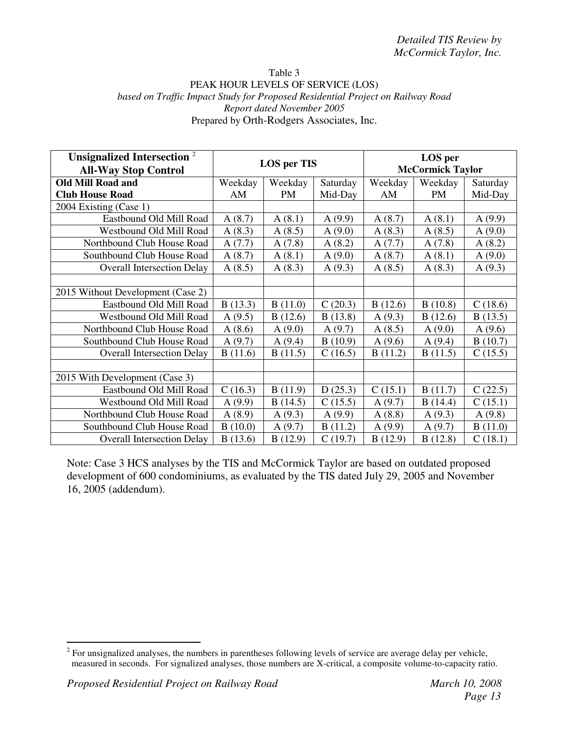#### Table 3 PEAK HOUR LEVELS OF SERVICE (LOS) *based on Traffic Impact Study for Proposed Residential Project on Railway Road Report dated November 2005* Prepared by Orth-Rodgers Associates, Inc.

| <b>Unsignalized Intersection</b> <sup>2</sup><br><b>All-Way Stop Control</b> | <b>LOS</b> per TIS |           |          |         | LOS per<br><b>McCormick Taylor</b> |          |
|------------------------------------------------------------------------------|--------------------|-----------|----------|---------|------------------------------------|----------|
| <b>Old Mill Road and</b>                                                     | Weekday            | Weekday   | Saturday | Weekday | Weekday                            | Saturday |
| <b>Club House Road</b>                                                       | AM                 | <b>PM</b> | Mid-Day  | AM      | PM                                 | Mid-Day  |
| 2004 Existing (Case 1)                                                       |                    |           |          |         |                                    |          |
| Eastbound Old Mill Road                                                      | A(8.7)             | A(8.1)    | A(9.9)   | A(8.7)  | A(8.1)                             | A(9.9)   |
| Westbound Old Mill Road                                                      | A(8.3)             | A(8.5)    | A(9.0)   | A(8.3)  | A(8.5)                             | A(9.0)   |
| Northbound Club House Road                                                   | A(7.7)             | A(7.8)    | A(8.2)   | A(7.7)  | A(7.8)                             | A(8.2)   |
| Southbound Club House Road                                                   | A(8.7)             | A(8.1)    | A(9.0)   | A(8.7)  | A(8.1)                             | A(9.0)   |
| <b>Overall Intersection Delay</b>                                            | A(8.5)             | A(8.3)    | A(9.3)   | A(8.5)  | A(8.3)                             | A(9.3)   |
|                                                                              |                    |           |          |         |                                    |          |
| 2015 Without Development (Case 2)                                            |                    |           |          |         |                                    |          |
| Eastbound Old Mill Road                                                      | B(13.3)            | B(11.0)   | C(20.3)  | B(12.6) | B(10.8)                            | C(18.6)  |
| Westbound Old Mill Road                                                      | A(9.5)             | B(12.6)   | B(13.8)  | A(9.3)  | B(12.6)                            | B(13.5)  |
| Northbound Club House Road                                                   | A(8.6)             | A(9.0)    | A(9.7)   | A(8.5)  | A(9.0)                             | A(9.6)   |
| Southbound Club House Road                                                   | A(9.7)             | A(9.4)    | B(10.9)  | A(9.6)  | A(9.4)                             | B(10.7)  |
| <b>Overall Intersection Delay</b>                                            | B(11.6)            | B(11.5)   | C(16.5)  | B(11.2) | B(11.5)                            | C(15.5)  |
|                                                                              |                    |           |          |         |                                    |          |
| 2015 With Development (Case 3)                                               |                    |           |          |         |                                    |          |
| Eastbound Old Mill Road                                                      | C(16.3)            | B(11.9)   | D(25.3)  | C(15.1) | B(11.7)                            | C(22.5)  |
| Westbound Old Mill Road                                                      | A(9.9)             | B(14.5)   | C(15.5)  | A(9.7)  | B(14.4)                            | C(15.1)  |
| Northbound Club House Road                                                   | A(8.9)             | A(9.3)    | A(9.9)   | A(8.8)  | A(9.3)                             | A(9.8)   |
| Southbound Club House Road                                                   | B(10.0)            | A(9.7)    | B(11.2)  | A(9.9)  | A(9.7)                             | B(11.0)  |
| <b>Overall Intersection Delay</b>                                            | B(13.6)            | B(12.9)   | C(19.7)  | B(12.9) | B(12.8)                            | C(18.1)  |

 $2^{2}$  For unsignalized analyses, the numbers in parentheses following levels of service are average delay per vehicle, measured in seconds. For signalized analyses, those numbers are X-critical, a composite volume-to-capacity ratio.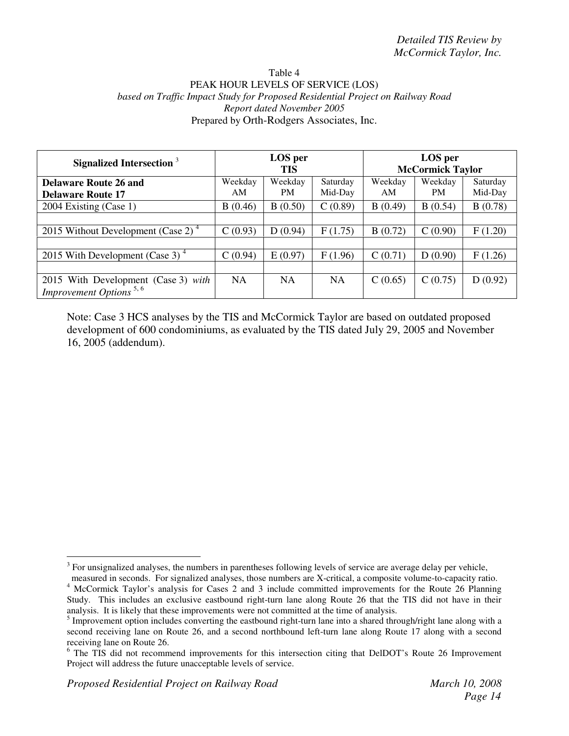#### Table 4 PEAK HOUR LEVELS OF SERVICE (LOS) *based on Traffic Impact Study for Proposed Residential Project on Railway Road Report dated November 2005* Prepared by Orth-Rodgers Associates, Inc.

| Signalized Intersection <sup>3</sup>  |         | LOS per<br><b>TIS</b> |           |         | LOS per<br><b>McCormick Taylor</b> |          |
|---------------------------------------|---------|-----------------------|-----------|---------|------------------------------------|----------|
| <b>Delaware Route 26 and</b>          | Weekday | Weekday               | Saturday  | Weekday | Weekday                            | Saturday |
| <b>Delaware Route 17</b>              | AM      | <b>PM</b>             | Mid-Day   | AM      | PM.                                | Mid-Day  |
| 2004 Existing (Case 1)                | B(0.46) | B(0.50)               | C(0.89)   | B(0.49) | B(0.54)                            | B(0.78)  |
|                                       |         |                       |           |         |                                    |          |
| 2015 Without Development (Case 2) $4$ | C(0.93) | D(0.94)               | F(1.75)   | B(0.72) | C(0.90)                            | F(1.20)  |
|                                       |         |                       |           |         |                                    |          |
| 2015 With Development (Case 3) $4$    | C(0.94) | E(0.97)               | F(1.96)   | C(0.71) | D(0.90)                            | F(1.26)  |
|                                       |         |                       |           |         |                                    |          |
| 2015 With Development (Case 3) with   | NA.     | <b>NA</b>             | <b>NA</b> | C(0.65) | C(0.75)                            | D(0.92)  |
| Improvement Options <sup>5,6</sup>    |         |                       |           |         |                                    |          |

 $3$  For unsignalized analyses, the numbers in parentheses following levels of service are average delay per vehicle,

measured in seconds. For signalized analyses, those numbers are X-critical, a composite volume-to-capacity ratio. <sup>4</sup> McCormick Taylor's analysis for Cases 2 and 3 include committed improvements for the Route 26 Planning Study. This includes an exclusive eastbound right-turn lane along Route 26 that the TIS did not have in their analysis. It is likely that these improvements were not committed at the time of analysis.

<sup>&</sup>lt;sup>5</sup> Improvement option includes converting the eastbound right-turn lane into a shared through/right lane along with a second receiving lane on Route 26, and a second northbound left-turn lane along Route 17 along with a second receiving lane on Route 26.

<sup>&</sup>lt;sup>6</sup> The TIS did not recommend improvements for this intersection citing that DelDOT's Route 26 Improvement Project will address the future unacceptable levels of service.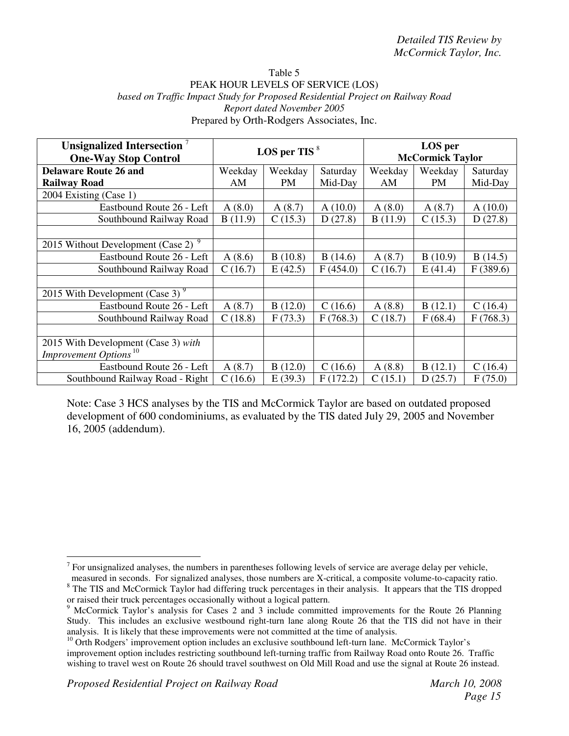#### Table 5 PEAK HOUR LEVELS OF SERVICE (LOS) *based on Traffic Impact Study for Proposed Residential Project on Railway Road Report dated November 2005* Prepared by Orth-Rodgers Associates, Inc.

| Unsignalized Intersection <sup>7</sup><br><b>One-Way Stop Control</b> | LOS per TIS $8$ |           |          |         | LOS per<br><b>McCormick Taylor</b> |          |
|-----------------------------------------------------------------------|-----------------|-----------|----------|---------|------------------------------------|----------|
| <b>Delaware Route 26 and</b>                                          | Weekday         | Weekday   | Saturday | Weekday | Weekday                            | Saturday |
| <b>Railway Road</b>                                                   | AM              | <b>PM</b> | Mid-Day  | AM      | PM                                 | Mid-Day  |
| 2004 Existing (Case 1)                                                |                 |           |          |         |                                    |          |
| Eastbound Route 26 - Left                                             | A(8.0)          | A(8.7)    | A(10.0)  | A(8.0)  | A(8.7)                             | A(10.0)  |
| Southbound Railway Road                                               | B(11.9)         | C(15.3)   | D(27.8)  | B(11.9) | C(15.3)                            | D(27.8)  |
|                                                                       |                 |           |          |         |                                    |          |
| 2015 Without Development (Case $\overline{2}$ ) <sup>9</sup>          |                 |           |          |         |                                    |          |
| Eastbound Route 26 - Left                                             | A(8.6)          | B(10.8)   | B(14.6)  | A(8.7)  | B(10.9)                            | B(14.5)  |
| Southbound Railway Road                                               | C(16.7)         | E(42.5)   | F(454.0) | C(16.7) | E(41.4)                            | F(389.6) |
|                                                                       |                 |           |          |         |                                    |          |
| 2015 With Development (Case 3) $9$                                    |                 |           |          |         |                                    |          |
| Eastbound Route 26 - Left                                             | A(8.7)          | B(12.0)   | C(16.6)  | A(8.8)  | B(12.1)                            | C(16.4)  |
| Southbound Railway Road                                               | C(18.8)         | F(73.3)   | F(768.3) | C(18.7) | F(68.4)                            | F(768.3) |
|                                                                       |                 |           |          |         |                                    |          |
| 2015 With Development (Case 3) with                                   |                 |           |          |         |                                    |          |
| Improvement Options <sup>10</sup>                                     |                 |           |          |         |                                    |          |
| Eastbound Route 26 - Left                                             | A(8.7)          | B(12.0)   | C(16.6)  | A(8.8)  | B(12.1)                            | C(16.4)  |
| Southbound Railway Road - Right                                       | C(16.6)         | E(39.3)   | F(172.2) | C(15.1) | D(25.7)                            | F(75.0)  |

 $<sup>7</sup>$  For unsignalized analyses, the numbers in parentheses following levels of service are average delay per vehicle,</sup>

measured in seconds. For signalized analyses, those numbers are X-critical, a composite volume-to-capacity ratio. <sup>8</sup> The TIS and McCormick Taylor had differing truck percentages in their analysis. It appears that the TIS dropped or raised their truck percentages occasionally without a logical pattern.

<sup>9</sup> McCormick Taylor's analysis for Cases 2 and 3 include committed improvements for the Route 26 Planning Study. This includes an exclusive westbound right-turn lane along Route 26 that the TIS did not have in their analysis. It is likely that these improvements were not committed at the time of analysis.

<sup>&</sup>lt;sup>10</sup> Orth Rodgers' improvement option includes an exclusive southbound left-turn lane. McCormick Taylor's

improvement option includes restricting southbound left-turning traffic from Railway Road onto Route 26. Traffic wishing to travel west on Route 26 should travel southwest on Old Mill Road and use the signal at Route 26 instead.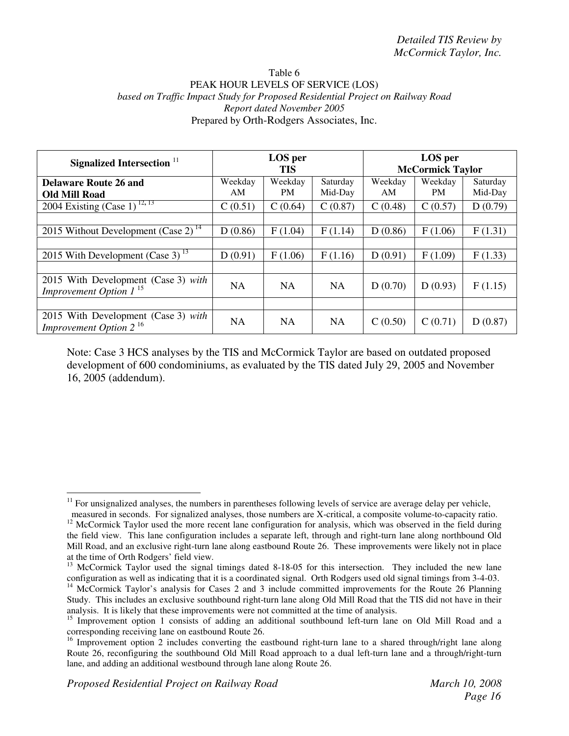#### Table 6 PEAK HOUR LEVELS OF SERVICE (LOS) *based on Traffic Impact Study for Proposed Residential Project on Railway Road Report dated November 2005* Prepared by Orth-Rodgers Associates, Inc.

| Signalized Intersection <sup>11</sup>                                            |               | LOS per<br><b>TIS</b> |                     |               | LOS per<br><b>McCormick Taylor</b> |                     |
|----------------------------------------------------------------------------------|---------------|-----------------------|---------------------|---------------|------------------------------------|---------------------|
| <b>Delaware Route 26 and</b><br><b>Old Mill Road</b>                             | Weekday<br>AM | Weekday<br><b>PM</b>  | Saturday<br>Mid-Day | Weekday<br>AM | Weekday<br>PM.                     | Saturday<br>Mid-Day |
| 2004 Existing $(\overline{\text{Case 1}})^{12,13}$                               | C(0.51)       | C(0.64)               | C(0.87)             | C(0.48)       | C(0.57)                            | D(0.79)             |
| 2015 Without Development (Case 2) <sup>14</sup>                                  | D(0.86)       | F(1.04)               | F(1.14)             | D(0.86)       | F(1.06)                            | F(1.31)             |
| 2015 With Development (Case 3) $^{13}$                                           | D(0.91)       | F(1.06)               | F(1.16)             | D(0.91)       | F(1.09)                            | F(1.33)             |
| 2015 With Development (Case 3) with<br><i>Improvement Option 1</i> <sup>15</sup> | <b>NA</b>     | <b>NA</b>             | <b>NA</b>           | D(0.70)       | D(0.93)                            | F(1.15)             |
|                                                                                  |               |                       |                     |               |                                    |                     |
| 2015 With Development (Case 3) with<br>Improvement Option $2^{16}$               | <b>NA</b>     | <b>NA</b>             | <b>NA</b>           | C(0.50)       | C(0.71)                            | D(0.87)             |

<sup>&</sup>lt;sup>11</sup> For unsignalized analyses, the numbers in parentheses following levels of service are average delay per vehicle, measured in seconds. For signalized analyses, those numbers are X-critical, a composite volume-to-capacity ratio.

<sup>&</sup>lt;sup>12</sup> McCormick Taylor used the more recent lane configuration for analysis, which was observed in the field during the field view. This lane configuration includes a separate left, through and right-turn lane along northbound Old Mill Road, and an exclusive right-turn lane along eastbound Route 26. These improvements were likely not in place at the time of Orth Rodgers' field view.

<sup>&</sup>lt;sup>13</sup> McCormick Taylor used the signal timings dated 8-18-05 for this intersection. They included the new lane configuration as well as indicating that it is a coordinated signal. Orth Rodgers used old signal timings from 3-4-03. <sup>14</sup> McCormick Taylor's analysis for Cases 2 and 3 include committed improvements for the Route 26 Planning Study. This includes an exclusive southbound right-turn lane along Old Mill Road that the TIS did not have in their analysis. It is likely that these improvements were not committed at the time of analysis.

<sup>&</sup>lt;sup>15</sup> Improvement option 1 consists of adding an additional southbound left-turn lane on Old Mill Road and a

corresponding receiving lane on eastbound Route 26. 16 Improvement option 2 includes converting the eastbound right-turn lane to a shared through/right lane along Route 26, reconfiguring the southbound Old Mill Road approach to a dual left-turn lane and a through/right-turn lane, and adding an additional westbound through lane along Route 26.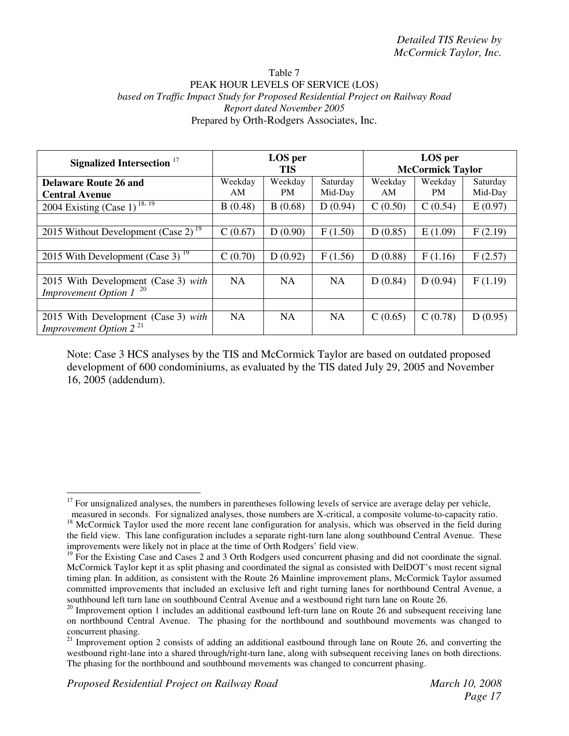#### Table 7 PEAK HOUR LEVELS OF SERVICE (LOS) *based on Traffic Impact Study for Proposed Residential Project on Railway Road Report dated November 2005* Prepared by Orth-Rodgers Associates, Inc.

| Signalized Intersection <sup>17</sup>                              |               | LOS per<br><b>TIS</b> |                     |               | LOS per<br><b>McCormick Taylor</b> |                     |
|--------------------------------------------------------------------|---------------|-----------------------|---------------------|---------------|------------------------------------|---------------------|
| <b>Delaware Route 26 and</b><br><b>Central Avenue</b>              | Weekday<br>AM | Weekday<br>PM         | Saturday<br>Mid-Day | Weekday<br>AM | Weekday<br>PM.                     | Saturday<br>Mid-Day |
| 2004 Existing (Case $1)^{\frac{18,19}{}}$                          | B(0.48)       | B(0.68)               | D(0.94)             | C(0.50)       | C(0.54)                            | E(0.97)             |
|                                                                    |               |                       |                     |               |                                    |                     |
| 2015 Without Development (Case 2) <sup>19</sup>                    | C(0.67)       | D(0.90)               | F(1.50)             | D(0.85)       | E(1.09)                            | F(2.19)             |
|                                                                    |               |                       |                     |               |                                    |                     |
| 2015 With Development (Case 3) $^{19}$                             | C(0.70)       | D(0.92)               | F(1.56)             | D(0.88)       | F(1.16)                            | F(2.57)             |
|                                                                    |               |                       |                     |               |                                    |                     |
| 2015 With Development (Case 3) with<br>Improvement Option $1^{20}$ | <b>NA</b>     | <b>NA</b>             | <b>NA</b>           | D(0.84)       | D(0.94)                            | F(1.19)             |
|                                                                    |               |                       |                     |               |                                    |                     |
| 2015 With Development (Case 3) with<br>Improvement Option $2^{21}$ | <b>NA</b>     | <b>NA</b>             | <b>NA</b>           | C(0.65)       | C(0.78)                            | D(0.95)             |

<sup>&</sup>lt;sup>17</sup> For unsignalized analyses, the numbers in parentheses following levels of service are average delay per vehicle, measured in seconds. For signalized analyses, those numbers are X-critical, a composite volume-to-capacity ratio.

<sup>&</sup>lt;sup>18</sup> McCormick Taylor used the more recent lane configuration for analysis, which was observed in the field during the field view. This lane configuration includes a separate right-turn lane along southbound Central Avenue. These improvements were likely not in place at the time of Orth Rodgers' field view.

<sup>&</sup>lt;sup>19</sup> For the Existing Case and Cases 2 and 3 Orth Rodgers used concurrent phasing and did not coordinate the signal. McCormick Taylor kept it as split phasing and coordinated the signal as consisted with DelDOT's most recent signal timing plan. In addition, as consistent with the Route 26 Mainline improvement plans, McCormick Taylor assumed committed improvements that included an exclusive left and right turning lanes for northbound Central Avenue, a southbound left turn lane on southbound Central Avenue and a westbound right turn lane on Route 26.

 $20$  Improvement option 1 includes an additional eastbound left-turn lane on Route 26 and subsequent receiving lane on northbound Central Avenue. The phasing for the northbound and southbound movements was changed to concurrent phasing.

<sup>&</sup>lt;sup>21</sup> Improvement option 2 consists of adding an additional eastbound through lane on Route 26, and converting the westbound right-lane into a shared through/right-turn lane, along with subsequent receiving lanes on both directions. The phasing for the northbound and southbound movements was changed to concurrent phasing.